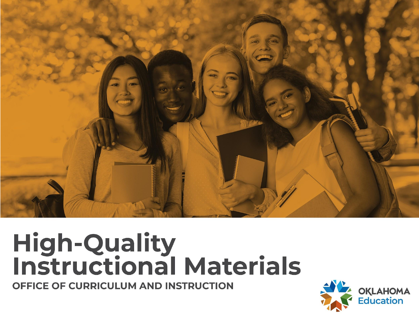

# **High-Quality<br>Instructional Materials**

OFFICE OF CURRICULUM AND INSTRUCTION

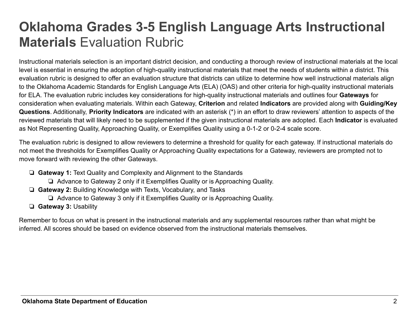## **Oklahoma Grades 3-5 English Language Arts Instructional Materials** Evaluation Rubric

Instructional materials selection is an important district decision, and conducting a thorough review of instructional materials at the local level is essential in ensuring the adoption of high-quality instructional materials that meet the needs of students within a district. This evaluation rubric is designed to offer an evaluation structure that districts can utilize to determine how well instructional materials align to the Oklahoma Academic Standards for English Language Arts (ELA) (OAS) and other criteria for high-quality instructional materials for ELA. The evaluation rubric includes key considerations for high-quality instructional materials and outlines four **Gateways** for consideration when evaluating materials. Within each Gateway, **Criterion** and related **Indicators** are provided along with **Guiding/Key Questions**. Additionally, **Priority Indicators** are indicated with an asterisk (\*) in an effort to draw reviewers' attention to aspects of the reviewed materials that will likely need to be supplemented if the given instructional materials are adopted. Each **Indicator** is evaluated as Not Representing Quality, Approaching Quality, or Exemplifies Quality using a 0-1-2 or 0-2-4 scale score.

The evaluation rubric is designed to allow reviewers to determine a threshold for quality for each gateway. If instructional materials do not meet the thresholds for Exemplifies Quality or Approaching Quality expectations for a Gateway, reviewers are prompted not to move forward with reviewing the other Gateways.

- ❏ **Gateway 1:** Text Quality and Complexity and Alignment to the Standards
	- ❏ Advance to Gateway 2 only if it Exemplifies Quality or is Approaching Quality.
- ❏ **Gateway 2:** Building Knowledge with Texts, Vocabulary, and Tasks
	- ❏ Advance to Gateway 3 only if it Exemplifies Quality or is Approaching Quality.
- ❏ **Gateway 3:** Usability

Remember to focus on what is present in the instructional materials and any supplemental resources rather than what might be inferred. All scores should be based on evidence observed from the instructional materials themselves.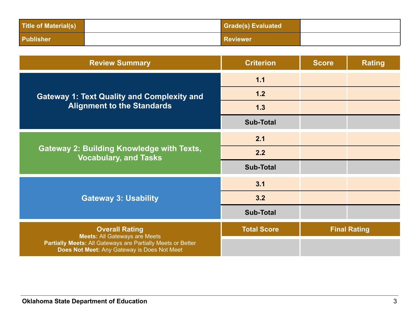| <b>Title of Material(s)</b> | <b>Grade(s) Evaluated</b> |  |
|-----------------------------|---------------------------|--|
| <b>Publisher</b>            | <b>Reviewer</b>           |  |

| <b>Review Summary</b>                                                                                      | <b>Criterion</b>   | <b>Score</b> | <b>Rating</b>       |
|------------------------------------------------------------------------------------------------------------|--------------------|--------------|---------------------|
|                                                                                                            | 1.1                |              |                     |
| <b>Gateway 1: Text Quality and Complexity and</b>                                                          | 1.2                |              |                     |
| <b>Alignment to the Standards</b>                                                                          | 1.3                |              |                     |
|                                                                                                            | <b>Sub-Total</b>   |              |                     |
| <b>Gateway 2: Building Knowledge with Texts,</b><br><b>Vocabulary, and Tasks</b>                           | 2.1                |              |                     |
|                                                                                                            | 2.2                |              |                     |
|                                                                                                            | <b>Sub-Total</b>   |              |                     |
|                                                                                                            | 3.1                |              |                     |
| <b>Gateway 3: Usability</b>                                                                                | 3.2                |              |                     |
|                                                                                                            | <b>Sub-Total</b>   |              |                     |
| <b>Overall Rating</b><br><b>Meets: All Gateways are Meets</b>                                              | <b>Total Score</b> |              | <b>Final Rating</b> |
| Partially Meets: All Gateways are Partially Meets or Better<br>Does Not Meet: Any Gateway is Does Not Meet |                    |              |                     |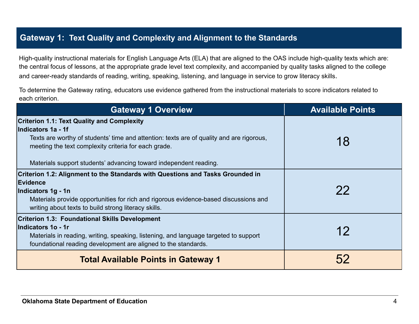#### **Gateway 1: Text Quality and Complexity and Alignment to the Standards**

High-quality instructional materials for English Language Arts (ELA) that are aligned to the OAS include high-quality texts which are: the central focus of lessons, at the appropriate grade level text complexity, and accompanied by quality tasks aligned to the college and career-ready standards of reading, writing, speaking, listening, and language in service to grow literacy skills.

To determine the Gateway rating, educators use evidence gathered from the instructional materials to score indicators related to each criterion.

| <b>Gateway 1 Overview</b>                                                                                                                                                                                                                                                                        | <b>Available Points</b> |
|--------------------------------------------------------------------------------------------------------------------------------------------------------------------------------------------------------------------------------------------------------------------------------------------------|-------------------------|
| <b>Criterion 1.1: Text Quality and Complexity</b><br>Indicators 1a - 1f<br>Texts are worthy of students' time and attention: texts are of quality and are rigorous,<br>meeting the text complexity criteria for each grade.<br>Materials support students' advancing toward independent reading. | 18                      |
| Criterion 1.2: Alignment to the Standards with Questions and Tasks Grounded in<br>Evidence<br>Indicators 1g - 1n<br>Materials provide opportunities for rich and rigorous evidence-based discussions and<br>writing about texts to build strong literacy skills.                                 | 22                      |
| <b>Criterion 1.3: Foundational Skills Development</b><br>Indicators 1o - 1r<br>Materials in reading, writing, speaking, listening, and language targeted to support<br>foundational reading development are aligned to the standards.                                                            | 12                      |
| <b>Total Available Points in Gateway 1</b>                                                                                                                                                                                                                                                       |                         |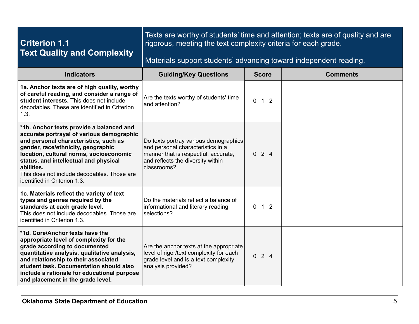| <b>Criterion 1.1</b><br><b>Text Quality and Complexity</b>                                                                                                                                                                                                                                                                                            | Texts are worthy of students' time and attention; texts are of quality and are<br>rigorous, meeting the text complexity criteria for each grade.<br>Materials support students' advancing toward independent reading. |                |                 |
|-------------------------------------------------------------------------------------------------------------------------------------------------------------------------------------------------------------------------------------------------------------------------------------------------------------------------------------------------------|-----------------------------------------------------------------------------------------------------------------------------------------------------------------------------------------------------------------------|----------------|-----------------|
| <b>Indicators</b>                                                                                                                                                                                                                                                                                                                                     | <b>Guiding/Key Questions</b>                                                                                                                                                                                          | <b>Score</b>   | <b>Comments</b> |
| 1a. Anchor texts are of high quality, worthy<br>of careful reading, and consider a range of<br>student interests. This does not include<br>decodables. These are identified in Criterion<br>1.3.                                                                                                                                                      | Are the texts worthy of students' time<br>and attention?                                                                                                                                                              | $0 \t1 \t2$    |                 |
| *1b. Anchor texts provide a balanced and<br>accurate portrayal of various demographic<br>and personal characteristics, such as<br>gender, race/ethnicity, geographic<br>location, cultural norms, socioeconomic<br>status, and intellectual and physical<br>abilities.<br>This does not include decodables. Those are<br>identified in Criterion 1.3. | Do texts portray various demographics<br>and personal characteristics in a<br>manner that is respectful, accurate,<br>and reflects the diversity within<br>classrooms?                                                | 024            |                 |
| 1c. Materials reflect the variety of text<br>types and genres required by the<br>standards at each grade level.<br>This does not include decodables. Those are<br>identified in Criterion 1.3.                                                                                                                                                        | Do the materials reflect a balance of<br>informational and literary reading<br>selections?                                                                                                                            | $1\quad2$<br>0 |                 |
| *1d. Core/Anchor texts have the<br>appropriate level of complexity for the<br>grade according to documented<br>quantitative analysis, qualitative analysis,<br>and relationship to their associated<br>student task. Documentation should also<br>include a rationale for educational purpose<br>and placement in the grade level.                    | Are the anchor texts at the appropriate<br>level of rigor/text complexity for each<br>grade level and is a text complexity<br>analysis provided?                                                                      | 024            |                 |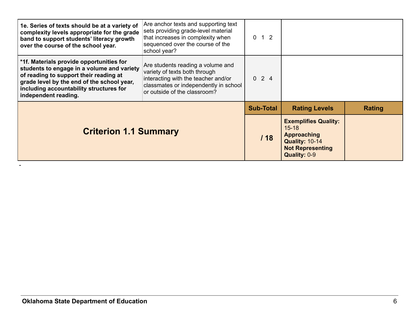| 1e. Series of texts should be at a variety of<br>complexity levels appropriate for the grade<br>band to support students' literacy growth<br>over the course of the school year.                                                                  | Are anchor texts and supporting text<br>sets providing grade-level material<br>that increases in complexity when<br>sequenced over the course of the<br>school year?               | $0 \t1 \t2$      |                                                                                                                                    |        |
|---------------------------------------------------------------------------------------------------------------------------------------------------------------------------------------------------------------------------------------------------|------------------------------------------------------------------------------------------------------------------------------------------------------------------------------------|------------------|------------------------------------------------------------------------------------------------------------------------------------|--------|
| *1f. Materials provide opportunities for<br>students to engage in a volume and variety<br>of reading to support their reading at<br>grade level by the end of the school year,<br>including accountability structures for<br>independent reading. | Are students reading a volume and<br>variety of texts both through<br>interacting with the teacher and/or<br>classmates or independently in school<br>or outside of the classroom? | $0 \t2 \t4$      |                                                                                                                                    |        |
|                                                                                                                                                                                                                                                   |                                                                                                                                                                                    | <b>Sub-Total</b> | <b>Rating Levels</b>                                                                                                               | Rating |
| <b>Criterion 1.1 Summary</b>                                                                                                                                                                                                                      |                                                                                                                                                                                    | 118              | <b>Exemplifies Quality:</b><br>$15 - 18$<br><b>Approaching</b><br><b>Quality: 10-14</b><br><b>Not Representing</b><br>Quality: 0-9 |        |

-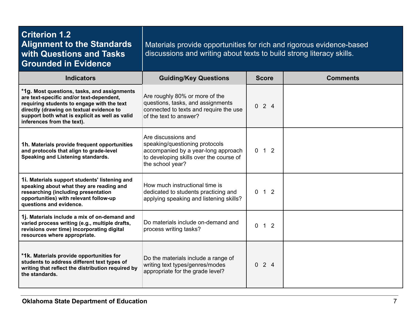| <b>Criterion 1.2</b><br><b>Alignment to the Standards</b><br>with Questions and Tasks<br><b>Grounded in Evidence</b>                                                                                                                                              | Materials provide opportunities for rich and rigorous evidence-based<br>discussions and writing about texts to build strong literacy skills.                |                     |                 |  |
|-------------------------------------------------------------------------------------------------------------------------------------------------------------------------------------------------------------------------------------------------------------------|-------------------------------------------------------------------------------------------------------------------------------------------------------------|---------------------|-----------------|--|
| <b>Indicators</b>                                                                                                                                                                                                                                                 | <b>Guiding/Key Questions</b>                                                                                                                                | <b>Score</b>        | <b>Comments</b> |  |
| *1g. Most questions, tasks, and assignments<br>are text-specific and/or text-dependent,<br>requiring students to engage with the text<br>directly (drawing on textual evidence to<br>support both what is explicit as well as valid<br>inferences from the text). | Are roughly 80% or more of the<br>questions, tasks, and assignments<br>connected to texts and require the use<br>of the text to answer?                     | 024                 |                 |  |
| 1h. Materials provide frequent opportunities<br>and protocols that align to grade-level<br>Speaking and Listening standards.                                                                                                                                      | Are discussions and<br>speaking/questioning protocols<br>accompanied by a year-long approach<br>to developing skills over the course of<br>the school year? | $0 \quad 1 \quad 2$ |                 |  |
| 1i. Materials support students' listening and<br>speaking about what they are reading and<br>researching (including presentation<br>opportunities) with relevant follow-up<br>questions and evidence.                                                             | How much instructional time is<br>dedicated to students practicing and<br>applying speaking and listening skills?                                           | $0 \quad 1 \quad 2$ |                 |  |
| 1j. Materials include a mix of on-demand and<br>varied process writing (e.g., multiple drafts,<br>revisions over time) incorporating digital<br>resources where appropriate.                                                                                      | Do materials include on-demand and<br>process writing tasks?                                                                                                | $0$ 1 2             |                 |  |
| *1k. Materials provide opportunities for<br>students to address different text types of<br>writing that reflect the distribution required by<br>the standards.                                                                                                    | Do the materials include a range of<br>writing text types/genres/modes<br>appropriate for the grade level?                                                  | 024                 |                 |  |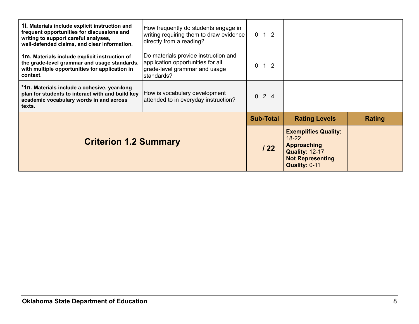| 1. Materials include explicit instruction and<br>frequent opportunities for discussions and<br>writing to support careful analyses,<br>well-defended claims, and clear information. | How frequently do students engage in<br>writing requiring them to draw evidence<br>directly from a reading?              | $0 \t1 \t2$                |                                                                                                                                     |        |
|-------------------------------------------------------------------------------------------------------------------------------------------------------------------------------------|--------------------------------------------------------------------------------------------------------------------------|----------------------------|-------------------------------------------------------------------------------------------------------------------------------------|--------|
| 1m. Materials include explicit instruction of<br>the grade-level grammar and usage standards,<br>with multiple opportunities for application in<br>context.                         | Do materials provide instruction and<br>application opportunities for all<br>grade-level grammar and usage<br>standards? | 1 <sub>2</sub><br>$\Omega$ |                                                                                                                                     |        |
| *1n. Materials include a cohesive, year-long<br>plan for students to interact with and build key<br>academic vocabulary words in and across<br>texts.                               | How is vocabulary development<br>attended to in everyday instruction?                                                    | $0 \t2 \t4$                |                                                                                                                                     |        |
|                                                                                                                                                                                     |                                                                                                                          | <b>Sub-Total</b>           | <b>Rating Levels</b>                                                                                                                | Rating |
| <b>Criterion 1.2 Summary</b>                                                                                                                                                        |                                                                                                                          | 122                        | <b>Exemplifies Quality:</b><br>$18 - 22$<br><b>Approaching</b><br><b>Quality: 12-17</b><br><b>Not Representing</b><br>Quality: 0-11 |        |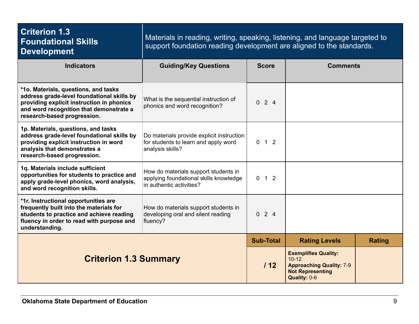| <b>Criterion 1.3</b><br><b>Foundational Skills</b><br><b>Development</b>                                                                                                                                  | Materials in reading, writing, speaking, listening, and language targeted to<br>support foundation reading development are aligned to the standards. |                                 |                                                                                                                        |               |
|-----------------------------------------------------------------------------------------------------------------------------------------------------------------------------------------------------------|------------------------------------------------------------------------------------------------------------------------------------------------------|---------------------------------|------------------------------------------------------------------------------------------------------------------------|---------------|
| <b>Indicators</b>                                                                                                                                                                                         | <b>Guiding/Key Questions</b>                                                                                                                         | <b>Score</b><br><b>Comments</b> |                                                                                                                        |               |
| *1o. Materials, questions, and tasks<br>address grade-level foundational skills by<br>providing explicit instruction in phonics<br>and word recognition that demonstrate a<br>research-based progression. | What is the sequential instruction of<br>phonics and word recognition?                                                                               | $0 \t2 \t4$                     |                                                                                                                        |               |
| 1p. Materials, questions, and tasks<br>address grade-level foundational skills by<br>providing explicit instruction in word<br>analysis that demonstrates a<br>research-based progression.                | Do materials provide explicit instruction<br>for students to learn and apply word<br>analysis skills?                                                | $0 \quad 1 \quad 2$             |                                                                                                                        |               |
| 1q. Materials include sufficient<br>opportunities for students to practice and<br>apply grade-level phonics, word analysis,<br>and word recognition skills.                                               | How do materials support students in<br>applying foundational skills knowledge<br>in authentic activities?                                           | $0 \quad 1 \quad 2$             |                                                                                                                        |               |
| *1r. Instructional opportunities are<br>frequently built into the materials for<br>students to practice and achieve reading<br>fluency in order to read with purpose and<br>understanding.                | How do materials support students in<br>developing oral and silent reading<br>fluency?                                                               | 024                             |                                                                                                                        |               |
|                                                                                                                                                                                                           |                                                                                                                                                      | <b>Sub-Total</b>                | <b>Rating Levels</b>                                                                                                   | <b>Rating</b> |
| <b>Criterion 1.3 Summary</b>                                                                                                                                                                              |                                                                                                                                                      | 112                             | <b>Exemplifies Quality:</b><br>$10 - 12$<br><b>Approaching Quality: 7-9</b><br><b>Not Representing</b><br>Quality: 0-6 |               |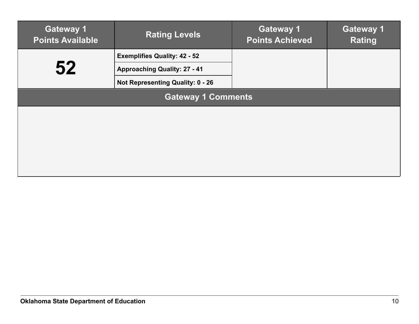| <b>Gateway 1</b><br><b>Points Available</b> | <b>Rating Levels</b>                    | <b>Gateway 1</b><br><b>Points Achieved</b> | <b>Gateway 1</b><br><b>Rating</b> |  |
|---------------------------------------------|-----------------------------------------|--------------------------------------------|-----------------------------------|--|
|                                             | <b>Exemplifies Quality: 42 - 52</b>     |                                            |                                   |  |
| 52                                          | <b>Approaching Quality: 27 - 41</b>     |                                            |                                   |  |
|                                             | <b>Not Representing Quality: 0 - 26</b> |                                            |                                   |  |
| <b>Gateway 1 Comments</b>                   |                                         |                                            |                                   |  |
|                                             |                                         |                                            |                                   |  |
|                                             |                                         |                                            |                                   |  |
|                                             |                                         |                                            |                                   |  |
|                                             |                                         |                                            |                                   |  |
|                                             |                                         |                                            |                                   |  |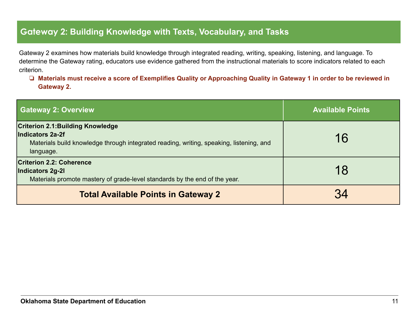#### **Gateway 2: Building Knowledge with Texts, Vocabulary, and Tasks**

Gateway 2 examines how materials build knowledge through integrated reading, writing, speaking, listening, and language. To determine the Gateway rating, educators use evidence gathered from the instructional materials to score indicators related to each criterion.

❏ **Materials must receive a score of Exemplifies Quality or Approaching Quality in Gateway 1 in order to be reviewed in Gateway 2.**

| <b>Gateway 2: Overview</b>                                                                                                                                           | <b>Available Points</b> |
|----------------------------------------------------------------------------------------------------------------------------------------------------------------------|-------------------------|
| <b>Criterion 2.1: Building Knowledge</b><br>Indicators 2a-2f<br>Materials build knowledge through integrated reading, writing, speaking, listening, and<br>language. | 16                      |
| <b>Criterion 2.2: Coherence</b><br>Indicators 2g-2l<br>Materials promote mastery of grade-level standards by the end of the year.                                    | 18                      |
| <b>Total Available Points in Gateway 2</b>                                                                                                                           |                         |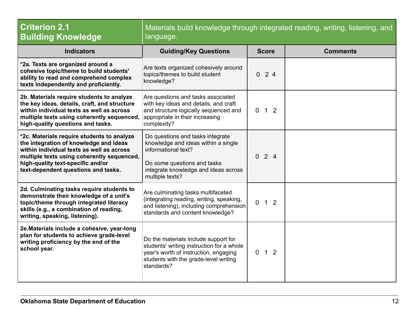| <b>Criterion 2.1</b><br><b>Building Knowledge</b>                                                                                                                                                                                                           | Materials build knowledge through integrated reading, writing, listening, and<br>language.                                                                                               |                                                    |                 |
|-------------------------------------------------------------------------------------------------------------------------------------------------------------------------------------------------------------------------------------------------------------|------------------------------------------------------------------------------------------------------------------------------------------------------------------------------------------|----------------------------------------------------|-----------------|
| <b>Indicators</b>                                                                                                                                                                                                                                           | <b>Guiding/Key Questions</b>                                                                                                                                                             | <b>Score</b>                                       | <b>Comments</b> |
| *2a. Texts are organized around a<br>cohesive topic/theme to build students'<br>ability to read and comprehend complex<br>texts independently and proficiently.                                                                                             | Are texts organized cohesively around<br>topics/themes to build student<br>knowledge?                                                                                                    | 24<br>$\overline{0}$                               |                 |
| 2b. Materials require students to analyze<br>the key ideas, details, craft, and structure<br>within individual texts as well as across<br>multiple texts using coherently sequenced,<br>high-quality questions and tasks.                                   | Are questions and tasks associated<br>with key ideas and details, and craft<br>and structure logically sequenced and<br>appropriate in their increasing<br>complexity?                   | $\overline{1}$<br>$\overline{2}$<br>$\overline{0}$ |                 |
| *2c. Materials require students to analyze<br>the integration of knowledge and ideas<br>within individual texts as well as across<br>multiple texts using coherently sequenced,<br>high-quality text-specific and/or<br>text-dependent questions and tasks. | Do questions and tasks integrate<br>knowledge and ideas within a single<br>informational text?<br>Do some questions and tasks<br>integrate knowledge and ideas across<br>multiple texts? | $0 \t2 \t4$                                        |                 |
| 2d. Culminating tasks require students to<br>demonstrate their knowledge of a unit's<br>topic/theme through integrated literacy<br>skills (e.g., a combination of reading,<br>writing, speaking, listening).                                                | Are culminating tasks multifaceted<br>(integrating reading, writing, speaking,<br>and listening), including comprehension<br>standards and content knowledge?                            | $\overline{0}$<br>$\overline{1}$<br>$\overline{2}$ |                 |
| 2e. Materials include a cohesive, year-long<br>plan for students to achieve grade-level<br>writing proficiency by the end of the<br>school year.                                                                                                            | Do the materials include support for<br>students' writing instruction for a whole<br>year's worth of instruction, engaging<br>students with the grade-level writing<br>standards?        | $\overline{1}$<br>$\overline{2}$<br>$\overline{0}$ |                 |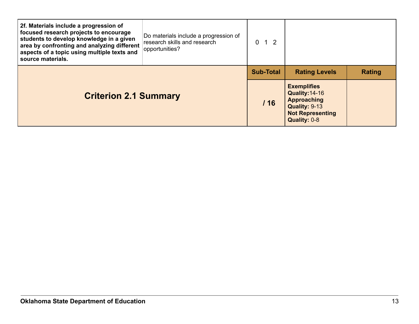| 2f. Materials include a progression of<br>focused research projects to encourage<br>students to develop knowledge in a given<br>area by confronting and analyzing different<br>aspects of a topic using multiple texts and<br>source materials. | Do materials include a progression of<br>research skills and research<br>opportunities? | $0 \t1 \t2$      |                                                                                                                        |               |
|-------------------------------------------------------------------------------------------------------------------------------------------------------------------------------------------------------------------------------------------------|-----------------------------------------------------------------------------------------|------------------|------------------------------------------------------------------------------------------------------------------------|---------------|
| <b>Criterion 2.1 Summary</b>                                                                                                                                                                                                                    |                                                                                         | <b>Sub-Total</b> | <b>Rating Levels</b>                                                                                                   | <b>Rating</b> |
|                                                                                                                                                                                                                                                 |                                                                                         | /16              | <b>Exemplifies</b><br>Quality: 14-16<br><b>Approaching</b><br>Quality: 9-13<br><b>Not Representing</b><br>Quality: 0-8 |               |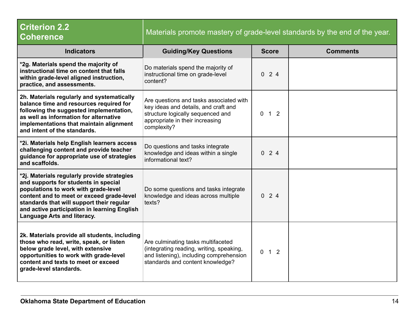| <b>Criterion 2.2</b><br><b>Coherence</b>                                                                                                                                                                                                                                                                    | Materials promote mastery of grade-level standards by the end of the year.                                                                                             |                                  |                 |
|-------------------------------------------------------------------------------------------------------------------------------------------------------------------------------------------------------------------------------------------------------------------------------------------------------------|------------------------------------------------------------------------------------------------------------------------------------------------------------------------|----------------------------------|-----------------|
| <b>Indicators</b>                                                                                                                                                                                                                                                                                           | <b>Guiding/Key Questions</b>                                                                                                                                           | <b>Score</b>                     | <b>Comments</b> |
| *2g. Materials spend the majority of<br>instructional time on content that falls<br>within grade-level aligned instruction,<br>practice, and assessments.                                                                                                                                                   | Do materials spend the majority of<br>instructional time on grade-level<br>content?                                                                                    | 024                              |                 |
| 2h. Materials regularly and systematically<br>balance time and resources required for<br>following the suggested implementation,<br>as well as information for alternative<br>implementations that maintain alignment<br>and intent of the standards.                                                       | Are questions and tasks associated with<br>key ideas and details, and craft and<br>structure logically sequenced and<br>appropriate in their increasing<br>complexity? | $0$ 1 2                          |                 |
| *2i. Materials help English learners access<br>challenging content and provide teacher<br>guidance for appropriate use of strategies<br>and scaffolds.                                                                                                                                                      | Do questions and tasks integrate<br>knowledge and ideas within a single<br>informational text?                                                                         | 024                              |                 |
| *2j. Materials regularly provide strategies<br>and supports for students in special<br>populations to work with grade-level<br>content and to meet or exceed grade-level<br>standards that will support their regular<br>and active participation in learning English<br><b>Language Arts and literacy.</b> | Do some questions and tasks integrate<br>knowledge and ideas across multiple<br>texts?                                                                                 | $0 \t2 \t4$                      |                 |
| 2k. Materials provide all students, including<br>those who read, write, speak, or listen<br>below grade level, with extensive<br>opportunities to work with grade-level<br>content and texts to meet or exceed<br>grade-level standards.                                                                    | Are culminating tasks multifaceted<br>(integrating reading, writing, speaking,<br>and listening), including comprehension<br>standards and content knowledge?          | 1 <sub>2</sub><br>$\overline{0}$ |                 |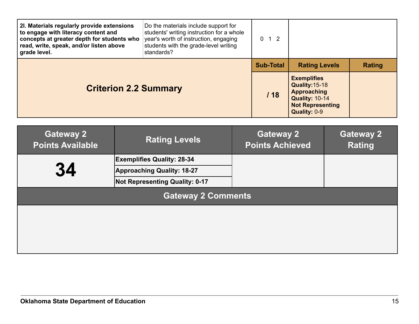| 2I. Materials regularly provide extensions<br>to engage with literacy content and<br>concepts at greater depth for students who<br>read, write, speak, and/or listen above<br>grade level. | Do the materials include support for<br>students' writing instruction for a whole<br>year's worth of instruction, engaging<br>students with the grade-level writing<br>standards? | $\Omega$<br>$1\quad2$ |                                                                                                                                |               |
|--------------------------------------------------------------------------------------------------------------------------------------------------------------------------------------------|-----------------------------------------------------------------------------------------------------------------------------------------------------------------------------------|-----------------------|--------------------------------------------------------------------------------------------------------------------------------|---------------|
|                                                                                                                                                                                            |                                                                                                                                                                                   | <b>Sub-Total</b>      | <b>Rating Levels</b>                                                                                                           | <b>Rating</b> |
| <b>Criterion 2.2 Summary</b>                                                                                                                                                               |                                                                                                                                                                                   | 118                   | <b>Exemplifies</b><br>Quality: 15-18<br><b>Approaching</b><br><b>Quality: 10-14</b><br><b>Not Representing</b><br>Quality: 0-9 |               |

| <b>Gateway 2</b><br><b>Points Available</b> | <b>Rating Levels</b>                  | <b>Gateway 2</b><br><b>Points Achieved</b> | <b>Gateway 2</b><br><b>Rating</b> |  |
|---------------------------------------------|---------------------------------------|--------------------------------------------|-----------------------------------|--|
|                                             | <b>Exemplifies Quality: 28-34</b>     |                                            |                                   |  |
| 34                                          | <b>Approaching Quality: 18-27</b>     |                                            |                                   |  |
|                                             | <b>Not Representing Quality: 0-17</b> |                                            |                                   |  |
| <b>Gateway 2 Comments</b>                   |                                       |                                            |                                   |  |
|                                             |                                       |                                            |                                   |  |
|                                             |                                       |                                            |                                   |  |
|                                             |                                       |                                            |                                   |  |
|                                             |                                       |                                            |                                   |  |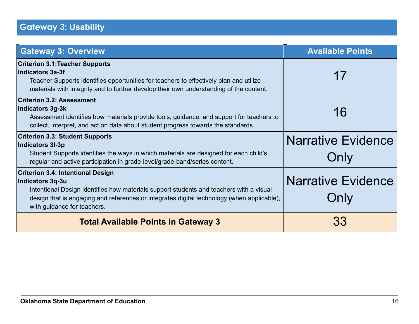### **Gateway 3: Usability**

| <b>Gateway 3: Overview</b>                                                                                                                                                                                                                                                           | <b>Available Points</b>           |
|--------------------------------------------------------------------------------------------------------------------------------------------------------------------------------------------------------------------------------------------------------------------------------------|-----------------------------------|
| <b>Criterion 3.1: Teacher Supports</b><br>Indicators 3a-3f<br>Teacher Supports identifies opportunities for teachers to effectively plan and utilize<br>materials with integrity and to further develop their own understanding of the content.                                      | 17                                |
| <b>Criterion 3.2: Assessment</b><br>Indicators 3g-3k<br>Assessment identifies how materials provide tools, guidance, and support for teachers to<br>collect, interpret, and act on data about student progress towards the standards.                                                | 16                                |
| <b>Criterion 3.3: Student Supports</b><br>Indicators 3I-3p<br>Student Supports identifies the ways in which materials are designed for each child's<br>regular and active participation in grade-level/grade-band/series content.                                                    | <b>Narrative Evidence</b><br>Only |
| <b>Criterion 3.4: Intentional Design</b><br>Indicators 3q-3u<br>Intentional Design identifies how materials support students and teachers with a visual<br>design that is engaging and references or integrates digital technology (when applicable),<br>with guidance for teachers. | <b>Narrative Evidence</b><br>Only |
| <b>Total Available Points in Gateway 3</b>                                                                                                                                                                                                                                           | 33                                |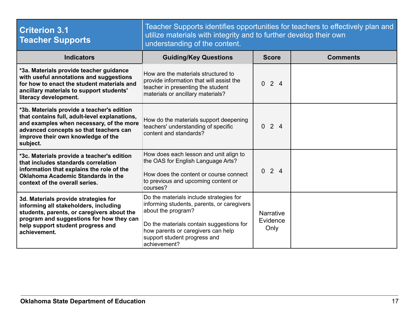| <b>Criterion 3.1</b><br><b>Teacher Supports</b>                                                                                                                                                                                     | Teacher Supports identifies opportunities for teachers to effectively plan and<br>utilize materials with integrity and to further develop their own<br>understanding of the content.                                                          |                                      |                 |
|-------------------------------------------------------------------------------------------------------------------------------------------------------------------------------------------------------------------------------------|-----------------------------------------------------------------------------------------------------------------------------------------------------------------------------------------------------------------------------------------------|--------------------------------------|-----------------|
| <b>Indicators</b>                                                                                                                                                                                                                   | <b>Guiding/Key Questions</b>                                                                                                                                                                                                                  | <b>Score</b>                         | <b>Comments</b> |
| *3a. Materials provide teacher guidance<br>with useful annotations and suggestions<br>for how to enact the student materials and<br>ancillary materials to support students'<br>literacy development.                               | How are the materials structured to<br>provide information that will assist the<br>teacher in presenting the student<br>materials or ancillary materials?                                                                                     | $0 \t2 \t4$                          |                 |
| *3b. Materials provide a teacher's edition<br>that contains full, adult-level explanations,<br>and examples when necessary, of the more<br>advanced concepts so that teachers can<br>improve their own knowledge of the<br>subject. | How do the materials support deepening<br>teachers' understanding of specific<br>content and standards?                                                                                                                                       | $0 \t2 \t4$                          |                 |
| *3c. Materials provide a teacher's edition<br>that includes standards correlation<br>information that explains the role of the<br><b>Oklahoma Academic Standards in the</b><br>context of the overall series.                       | How does each lesson and unit align to<br>the OAS for English Language Arts?<br>How does the content or course connect<br>to previous and upcoming content or<br>courses?                                                                     | $0 \t2 \t4$                          |                 |
| 3d. Materials provide strategies for<br>informing all stakeholders, including<br>students, parents, or caregivers about the<br>program and suggestions for how they can<br>help support student progress and<br>achievement.        | Do the materials include strategies for<br>informing students, parents, or caregivers<br>about the program?<br>Do the materials contain suggestions for<br>how parents or caregivers can help<br>support student progress and<br>achievement? | <b>Narrative</b><br>Evidence<br>Only |                 |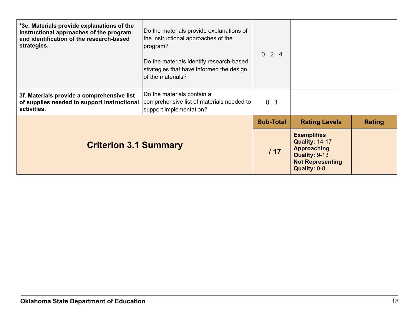| *3e. Materials provide explanations of the<br>instructional approaches of the program<br>and identification of the research-based<br>strategies. | Do the materials provide explanations of<br>the instructional approaches of the<br>program?<br>Do the materials identify research-based<br>strategies that have informed the design<br>of the materials? | $0 \t2 \t4$      |                                                                                                                               |        |
|--------------------------------------------------------------------------------------------------------------------------------------------------|----------------------------------------------------------------------------------------------------------------------------------------------------------------------------------------------------------|------------------|-------------------------------------------------------------------------------------------------------------------------------|--------|
| 3f. Materials provide a comprehensive list<br>of supplies needed to support instructional<br>activities.                                         | Do the materials contain a<br>comprehensive list of materials needed to<br>support implementation?                                                                                                       | 0 <sub>1</sub>   |                                                                                                                               |        |
|                                                                                                                                                  |                                                                                                                                                                                                          | <b>Sub-Total</b> | <b>Rating Levels</b>                                                                                                          | Rating |
| <b>Criterion 3.1 Summary</b>                                                                                                                     |                                                                                                                                                                                                          | 117              | <b>Exemplifies</b><br><b>Quality: 14-17</b><br><b>Approaching</b><br>Quality: 9-13<br><b>Not Representing</b><br>Quality: 0-8 |        |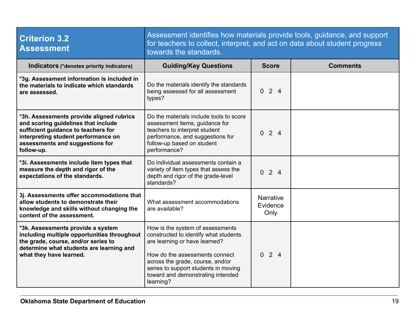| <b>Criterion 3.2</b><br><b>Assessment</b>                                                                                                                                                                      | Assessment identifies how materials provide tools, guidance, and support<br>for teachers to collect, interpret, and act on data about student progress<br>towards the standards.                                                                                           |                                      |                 |
|----------------------------------------------------------------------------------------------------------------------------------------------------------------------------------------------------------------|----------------------------------------------------------------------------------------------------------------------------------------------------------------------------------------------------------------------------------------------------------------------------|--------------------------------------|-----------------|
| Indicators (*denotes priority indicators)                                                                                                                                                                      | <b>Guiding/Key Questions</b>                                                                                                                                                                                                                                               | <b>Score</b>                         | <b>Comments</b> |
| *3g. Assessment information is included in<br>the materials to indicate which standards<br>are assessed.                                                                                                       | Do the materials identify the standards<br>being assessed for all assessment<br>types?                                                                                                                                                                                     | 024                                  |                 |
| *3h. Assessments provide aligned rubrics<br>and scoring guidelines that include<br>sufficient guidance to teachers for<br>interpreting student performance on<br>assessments and suggestions for<br>follow-up. | Do the materials include tools to score<br>assessment items, guidance for<br>teachers to interpret student<br>performance, and suggestions for<br>follow-up based on student<br>performance?                                                                               | 024                                  |                 |
| *3i. Assessments include item types that<br>measure the depth and rigor of the<br>expectations of the standards.                                                                                               | Do individual assessments contain a<br>variety of item types that assess the<br>depth and rigor of the grade-level<br>standards?                                                                                                                                           | 024                                  |                 |
| 3j. Assessments offer accommodations that<br>allow students to demonstrate their<br>knowledge and skills without changing the<br>content of the assessment.                                                    | What assessment accommodations<br>are available?                                                                                                                                                                                                                           | <b>Narrative</b><br>Evidence<br>Only |                 |
| *3k. Assessments provide a system<br>including multiple opportunities throughout<br>the grade, course, and/or series to<br>determine what students are learning and<br>what they have learned.                 | How is the system of assessments<br>constructed to identify what students<br>are learning or have learned?<br>How do the assessments connect<br>across the grade, course, and/or<br>series to support students in moving<br>toward and demonstrating intended<br>learning? | $0 \t2 \t4$                          |                 |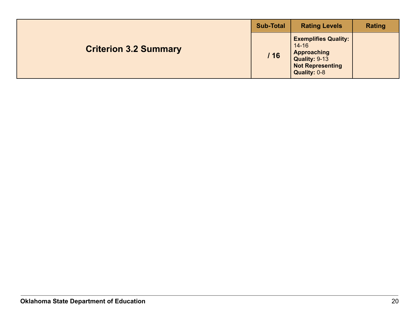|  | <b>Sub-Total</b>             | <b>Rating Levels</b> | <b>Rating</b>                                                                                                              |  |
|--|------------------------------|----------------------|----------------------------------------------------------------------------------------------------------------------------|--|
|  | <b>Criterion 3.2 Summary</b> | 116                  | <b>Exemplifies Quality:</b><br>$14 - 16$<br><b>Approaching</b><br>Quality: 9-13<br><b>Not Representing</b><br>Quality: 0-8 |  |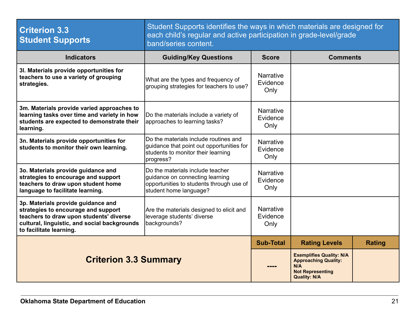| <b>Criterion 3.3</b><br><b>Student Supports</b>                                                                                                                                                 | Student Supports identifies the ways in which materials are designed for<br>each child's regular and active participation in grade-level/grade<br>band/series content. |                                      |                                                                                                                         |               |
|-------------------------------------------------------------------------------------------------------------------------------------------------------------------------------------------------|------------------------------------------------------------------------------------------------------------------------------------------------------------------------|--------------------------------------|-------------------------------------------------------------------------------------------------------------------------|---------------|
| <b>Indicators</b>                                                                                                                                                                               | <b>Guiding/Key Questions</b>                                                                                                                                           | <b>Score</b>                         | <b>Comments</b>                                                                                                         |               |
| 3I. Materials provide opportunities for<br>teachers to use a variety of grouping<br>strategies.                                                                                                 | What are the types and frequency of<br>grouping strategies for teachers to use?                                                                                        | <b>Narrative</b><br>Evidence<br>Only |                                                                                                                         |               |
| 3m. Materials provide varied approaches to<br>learning tasks over time and variety in how<br>students are expected to demonstrate their<br>learning.                                            | Do the materials include a variety of<br>approaches to learning tasks?                                                                                                 | <b>Narrative</b><br>Evidence<br>Only |                                                                                                                         |               |
| 3n. Materials provide opportunities for<br>students to monitor their own learning.                                                                                                              | Do the materials include routines and<br>guidance that point out opportunities for<br>students to monitor their learning<br>progress?                                  | <b>Narrative</b><br>Evidence<br>Only |                                                                                                                         |               |
| 3o. Materials provide guidance and<br>strategies to encourage and support<br>teachers to draw upon student home<br>language to facilitate learning.                                             | Do the materials include teacher<br>quidance on connecting learning<br>opportunities to students through use of<br>student home language?                              | <b>Narrative</b><br>Evidence<br>Only |                                                                                                                         |               |
| 3p. Materials provide guidance and<br>strategies to encourage and support<br>teachers to draw upon students' diverse<br>cultural, linguistic, and social backgrounds<br>to facilitate learning. | Are the materials designed to elicit and<br>leverage students' diverse<br>backgrounds?                                                                                 | <b>Narrative</b><br>Evidence<br>Only |                                                                                                                         |               |
| <b>Criterion 3.3 Summary</b>                                                                                                                                                                    |                                                                                                                                                                        | <b>Sub-Total</b>                     | <b>Rating Levels</b>                                                                                                    | <b>Rating</b> |
|                                                                                                                                                                                                 |                                                                                                                                                                        |                                      | <b>Exemplifies Quality: N/A</b><br><b>Approaching Quality:</b><br>N/A<br><b>Not Representing</b><br><b>Quality: N/A</b> |               |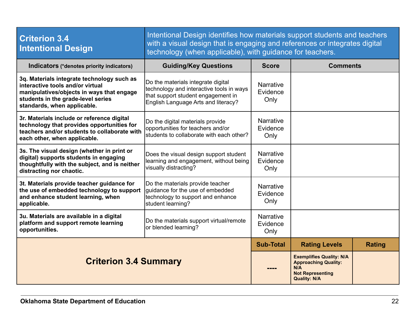| <b>Criterion 3.4</b><br><b>Intentional Design</b>                                                                                                                                                | Intentional Design identifies how materials support students and teachers<br>with a visual design that is engaging and references or integrates digital<br>technology (when applicable), with guidance for teachers. |                                      |                                                                                                                         |               |
|--------------------------------------------------------------------------------------------------------------------------------------------------------------------------------------------------|----------------------------------------------------------------------------------------------------------------------------------------------------------------------------------------------------------------------|--------------------------------------|-------------------------------------------------------------------------------------------------------------------------|---------------|
| Indicators (*denotes priority indicators)                                                                                                                                                        | <b>Guiding/Key Questions</b>                                                                                                                                                                                         | <b>Score</b>                         | <b>Comments</b>                                                                                                         |               |
| 3q. Materials integrate technology such as<br>interactive tools and/or virtual<br>manipulatives/objects in ways that engage<br>students in the grade-level series<br>standards, when applicable. | Do the materials integrate digital<br>technology and interactive tools in ways<br>that support student engagement in<br>English Language Arts and literacy?                                                          | <b>Narrative</b><br>Evidence<br>Only |                                                                                                                         |               |
| 3r. Materials include or reference digital<br>technology that provides opportunities for<br>teachers and/or students to collaborate with<br>each other, when applicable.                         | Do the digital materials provide<br>opportunities for teachers and/or<br>students to collaborate with each other?                                                                                                    | <b>Narrative</b><br>Evidence<br>Only |                                                                                                                         |               |
| 3s. The visual design (whether in print or<br>digital) supports students in engaging<br>thoughtfully with the subject, and is neither<br>distracting nor chaotic.                                | Does the visual design support student<br>learning and engagement, without being<br>visually distracting?                                                                                                            | <b>Narrative</b><br>Evidence<br>Only |                                                                                                                         |               |
| 3t. Materials provide teacher guidance for<br>the use of embedded technology to support<br>and enhance student learning, when<br>applicable.                                                     | Do the materials provide teacher<br>quidance for the use of embedded<br>technology to support and enhance<br>student learning?                                                                                       | <b>Narrative</b><br>Evidence<br>Only |                                                                                                                         |               |
| 3u. Materials are available in a digital<br>platform and support remote learning<br>opportunities.                                                                                               | Do the materials support virtual/remote<br>or blended learning?                                                                                                                                                      | <b>Narrative</b><br>Evidence<br>Only |                                                                                                                         |               |
|                                                                                                                                                                                                  |                                                                                                                                                                                                                      |                                      | <b>Rating Levels</b>                                                                                                    | <b>Rating</b> |
| <b>Criterion 3.4 Summary</b>                                                                                                                                                                     |                                                                                                                                                                                                                      |                                      | <b>Exemplifies Quality: N/A</b><br><b>Approaching Quality:</b><br>N/A<br><b>Not Representing</b><br><b>Quality: N/A</b> |               |